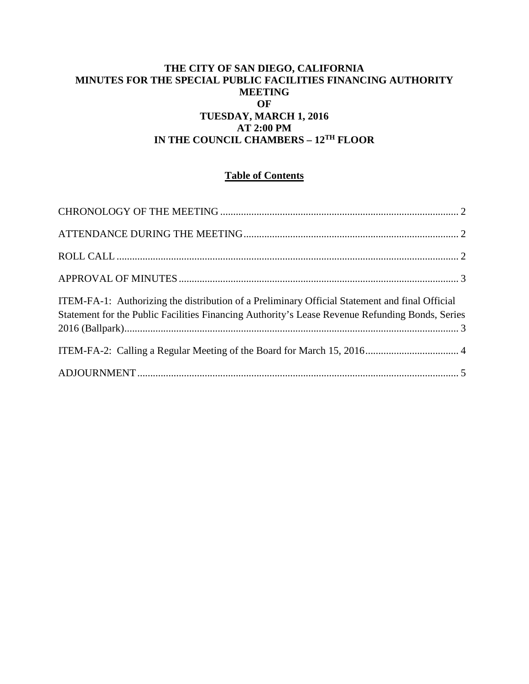## **THE CITY OF SAN DIEGO, CALIFORNIA MINUTES FOR THE SPECIAL PUBLIC FACILITIES FINANCING AUTHORITY MEETING OF TUESDAY, MARCH 1, 2016 AT 2:00 PM IN THE COUNCIL CHAMBERS – 12TH FLOOR**

# **Table of Contents**

| ITEM-FA-1: Authorizing the distribution of a Preliminary Official Statement and final Official<br>Statement for the Public Facilities Financing Authority's Lease Revenue Refunding Bonds, Series |  |
|---------------------------------------------------------------------------------------------------------------------------------------------------------------------------------------------------|--|
|                                                                                                                                                                                                   |  |
|                                                                                                                                                                                                   |  |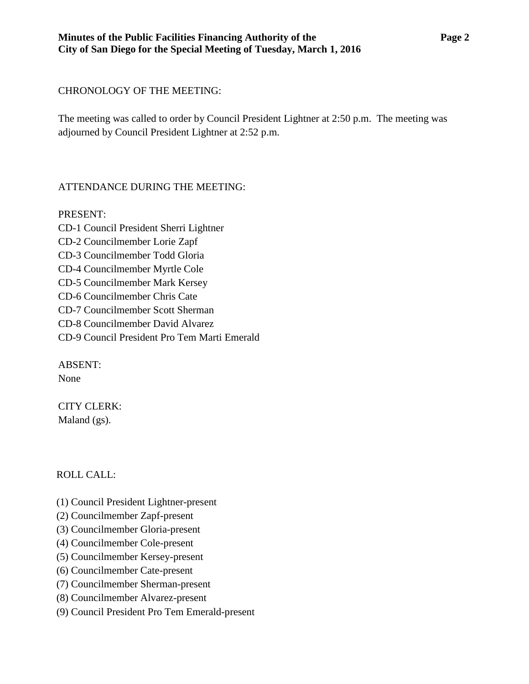## <span id="page-1-0"></span>CHRONOLOGY OF THE MEETING:

The meeting was called to order by Council President Lightner at 2:50 p.m. The meeting was adjourned by Council President Lightner at 2:52 p.m.

# <span id="page-1-1"></span>ATTENDANCE DURING THE MEETING:

PRESENT: CD-1 Council President Sherri Lightner CD-2 Councilmember Lorie Zapf CD-3 Councilmember Todd Gloria CD-4 Councilmember Myrtle Cole CD-5 Councilmember Mark Kersey CD-6 Councilmember Chris Cate CD-7 Councilmember Scott Sherman CD-8 Councilmember David Alvarez CD-9 Council President Pro Tem Marti Emerald

ABSENT: None

CITY CLERK: Maland (gs).

# <span id="page-1-2"></span>ROLL CALL:

- (1) Council President Lightner-present
- (2) Councilmember Zapf-present
- (3) Councilmember Gloria-present
- (4) Councilmember Cole-present
- (5) Councilmember Kersey-present
- (6) Councilmember Cate-present
- (7) Councilmember Sherman-present
- (8) Councilmember Alvarez-present
- (9) Council President Pro Tem Emerald-present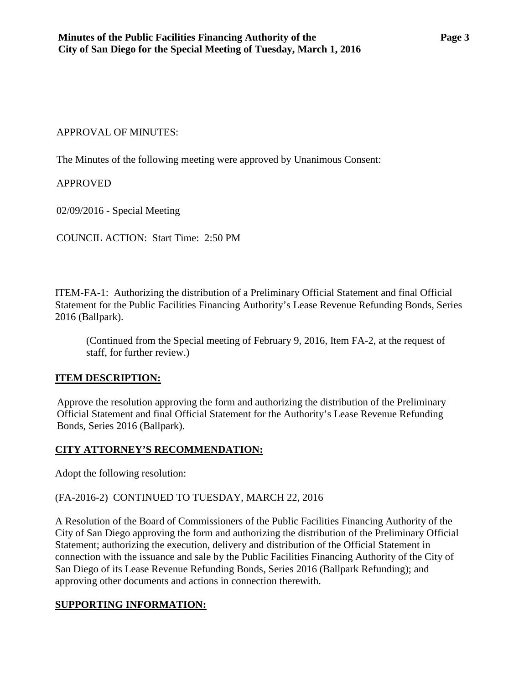#### <span id="page-2-0"></span>APPROVAL OF MINUTES:

The Minutes of the following meeting were approved by Unanimous Consent:

APPROVED

02/09/2016 - Special Meeting

COUNCIL ACTION: Start Time: 2:50 PM

ITEM-FA-1: Authorizing the distribution of a Preliminary Official Statement and final Official Statement for the Public Facilities Financing Authority's Lease Revenue Refunding Bonds, Series 2016 (Ballpark).

<span id="page-2-1"></span>(Continued from the Special meeting of February 9, 2016, Item FA-2, at the request of staff, for further review.)

#### **ITEM DESCRIPTION:**

Approve the resolution approving the form and authorizing the distribution of the Preliminary Official Statement and final Official Statement for the Authority's Lease Revenue Refunding Bonds, Series 2016 (Ballpark).

## **CITY ATTORNEY'S RECOMMENDATION:**

Adopt the following resolution:

#### (FA-2016-2) CONTINUED TO TUESDAY, MARCH 22, 2016

A Resolution of the Board of Commissioners of the Public Facilities Financing Authority of the City of San Diego approving the form and authorizing the distribution of the Preliminary Official Statement; authorizing the execution, delivery and distribution of the Official Statement in connection with the issuance and sale by the Public Facilities Financing Authority of the City of San Diego of its Lease Revenue Refunding Bonds, Series 2016 (Ballpark Refunding); and approving other documents and actions in connection therewith.

## **SUPPORTING INFORMATION:**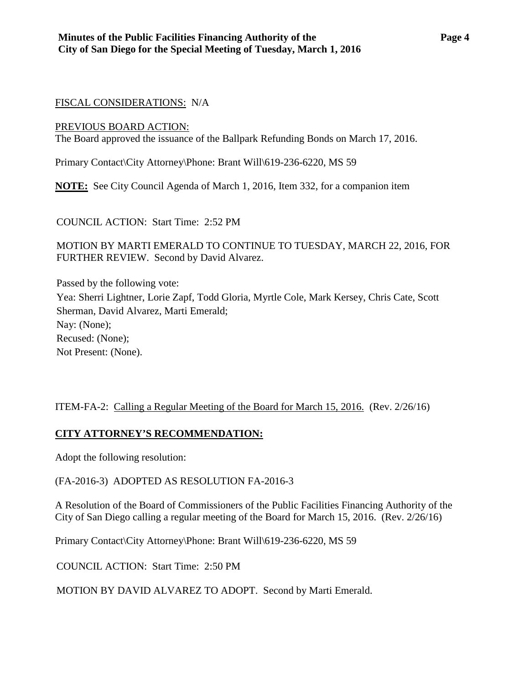### FISCAL CONSIDERATIONS: N/A

#### PREVIOUS BOARD ACTION:

The Board approved the issuance of the Ballpark Refunding Bonds on March 17, 2016.

Primary Contact\City Attorney\Phone: Brant Will\619-236-6220, MS 59

**NOTE:** See City Council Agenda of March 1, 2016, Item 332, for a companion item

COUNCIL ACTION: Start Time: 2:52 PM

MOTION BY MARTI EMERALD TO CONTINUE TO TUESDAY, MARCH 22, 2016, FOR FURTHER REVIEW. Second by David Alvarez.

Passed by the following vote: Yea: Sherri Lightner, Lorie Zapf, Todd Gloria, Myrtle Cole, Mark Kersey, Chris Cate, Scott Sherman, David Alvarez, Marti Emerald; Nay: (None); Recused: (None); Not Present: (None).

## <span id="page-3-0"></span>ITEM-FA-2: Calling a Regular Meeting of the Board for March 15, 2016. (Rev. 2/26/16)

## **CITY ATTORNEY'S RECOMMENDATION:**

Adopt the following resolution:

(FA-2016-3) ADOPTED AS RESOLUTION FA-2016-3

A Resolution of the Board of Commissioners of the Public Facilities Financing Authority of the City of San Diego calling a regular meeting of the Board for March 15, 2016. (Rev. 2/26/16)

Primary Contact\City Attorney\Phone: Brant Will\619-236-6220, MS 59

COUNCIL ACTION: Start Time: 2:50 PM

MOTION BY DAVID ALVAREZ TO ADOPT. Second by Marti Emerald.